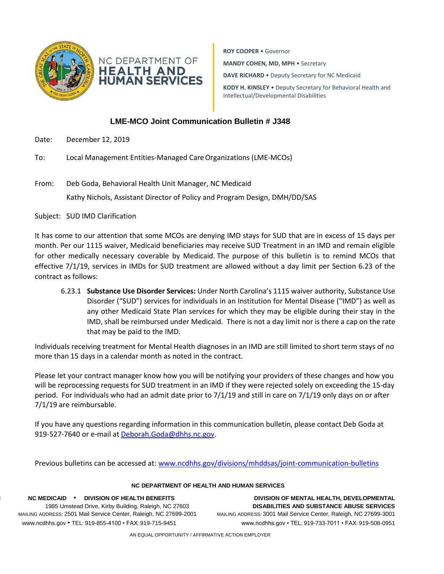



**ROY COOPER** • Governor **MANDY COHEN, MD, MPH** • Secretary **DAVE RICHARD** • Deputy Secretary for NC Medicaid **KODY H. KINSLEY** • Deputy Secretary for Behavioral Health and Intellectual/Developmental Disabilities

## **LME-MCO Joint Communication Bulletin # J348**

- Date: December 12, 2019
- To: Local Management Entities-Managed CareOrganizations (LME-MCOs)
- From: Deb Goda, Behavioral Health Unit Manager, NC Medicaid Kathy Nichols, Assistant Director of Policy and Program Design, DMH/DD/SAS

Subject: SUD IMD Clarification

It has come to our attention that some MCOs are denying IMD stays for SUD that are in excess of 15 days per month. Per our 1115 waiver, Medicaid beneficiaries may receive SUD Treatment in an IMD and remain eligible for other medically necessary coverable by Medicaid. The purpose of this bulletin is to remind MCOs that effective 7/1/19, services in IMDs for SUD treatment are allowed without a day limit per Section 6.23 of the contract as follows:

6.23.1 **Substance Use Disorder Services:** Under North Carolina's 1115 waiver authority, Substance Use Disorder ("SUD") services for individuals in an Institution for Mental Disease ("IMD") as well as any other Medicaid State Plan services for which they may be eligible during their stay in the IMD, shall be reimbursed under Medicaid. There is not a day limit nor is there a cap on the rate that may be paid to the IMD.

Individuals receiving treatment for Mental Health diagnoses in an IMD are still limited to short term stays of no more than 15 days in a calendar month as noted in the contract.

Please let your contract manager know how you will be notifying your providers of these changes and how you will be reprocessing requests for SUD treatment in an IMD if they were rejected solely on exceeding the 15-day period. For individuals who had an admit date prior to 7/1/19 and still in care on 7/1/19 only days on or after 7/1/19 are reimbursable.

If you have any questions regarding information in this communication bulletin, please contact Deb Goda at 919-527-7640 or e-mail at [Deborah.Goda@dhhs.nc.gov.](mailto:Deborah.Goda@dhhs.nc.gov)

Previous bulletins can be accessed at: [www.ncdhhs.gov/divisions/mhddsas/joint-communication-bulletins](http://www.ncdhhs.gov/divisions/mhddsas/joint-communication-bulletins)

## **NC DEPARTMENT OF HEALTH AND HUMAN SERVICES**

1985 Umstead Drive, Kirby Building, Raleigh, NC 27603

**NC M NC MEDICAID** • **DIVISION OF HEALTH BENEFITS DIVISION OF MENTAL HEALTH, DEVELOPMENTAL**  MAILING ADDRESS: 2501 Mail Service Center, Raleigh, NC 27699-2001 MAILING ADDRESS: 3001 Mail Service Center, Raleigh, NC 27699-3001 [www.ncdh](http://www.ncdh/) www.ncdhhs.gov • TEL: 919-855-4100 • FAX: 919-715-9451 www.ncdhhs.gov • TEL: 919-733-7011 • FAX: 919-508-0951

AN EQUAL OPPORTUNITY / AFFIRMATIVE ACTION EMPLOYER